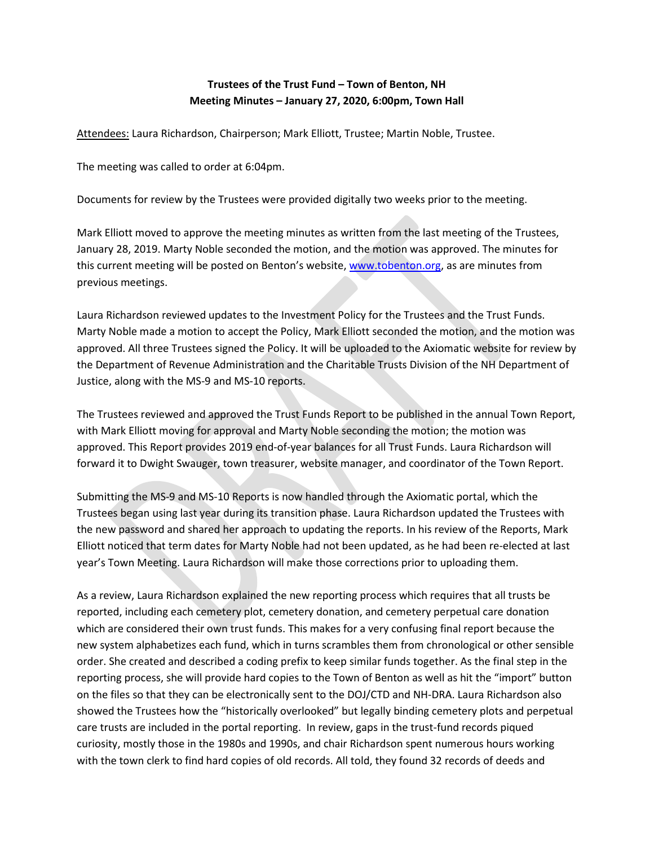## **Trustees of the Trust Fund – Town of Benton, NH Meeting Minutes – January 27, 2020, 6:00pm, Town Hall**

Attendees: Laura Richardson, Chairperson; Mark Elliott, Trustee; Martin Noble, Trustee.

The meeting was called to order at 6:04pm.

Documents for review by the Trustees were provided digitally two weeks prior to the meeting.

Mark Elliott moved to approve the meeting minutes as written from the last meeting of the Trustees, January 28, 2019. Marty Noble seconded the motion, and the motion was approved. The minutes for this current meeting will be posted on Benton's website, [www.tobenton.org,](http://www.tobenton.org/) as are minutes from previous meetings.

Laura Richardson reviewed updates to the Investment Policy for the Trustees and the Trust Funds. Marty Noble made a motion to accept the Policy, Mark Elliott seconded the motion, and the motion was approved. All three Trustees signed the Policy. It will be uploaded to the Axiomatic website for review by the Department of Revenue Administration and the Charitable Trusts Division of the NH Department of Justice, along with the MS-9 and MS-10 reports.

The Trustees reviewed and approved the Trust Funds Report to be published in the annual Town Report, with Mark Elliott moving for approval and Marty Noble seconding the motion; the motion was approved. This Report provides 2019 end-of-year balances for all Trust Funds. Laura Richardson will forward it to Dwight Swauger, town treasurer, website manager, and coordinator of the Town Report.

Submitting the MS-9 and MS-10 Reports is now handled through the Axiomatic portal, which the Trustees began using last year during its transition phase. Laura Richardson updated the Trustees with the new password and shared her approach to updating the reports. In his review of the Reports, Mark Elliott noticed that term dates for Marty Noble had not been updated, as he had been re-elected at last year's Town Meeting. Laura Richardson will make those corrections prior to uploading them.

As a review, Laura Richardson explained the new reporting process which requires that all trusts be reported, including each cemetery plot, cemetery donation, and cemetery perpetual care donation which are considered their own trust funds. This makes for a very confusing final report because the new system alphabetizes each fund, which in turns scrambles them from chronological or other sensible order. She created and described a coding prefix to keep similar funds together. As the final step in the reporting process, she will provide hard copies to the Town of Benton as well as hit the "import" button on the files so that they can be electronically sent to the DOJ/CTD and NH-DRA. Laura Richardson also showed the Trustees how the "historically overlooked" but legally binding cemetery plots and perpetual care trusts are included in the portal reporting. In review, gaps in the trust-fund records piqued curiosity, mostly those in the 1980s and 1990s, and chair Richardson spent numerous hours working with the town clerk to find hard copies of old records. All told, they found 32 records of deeds and